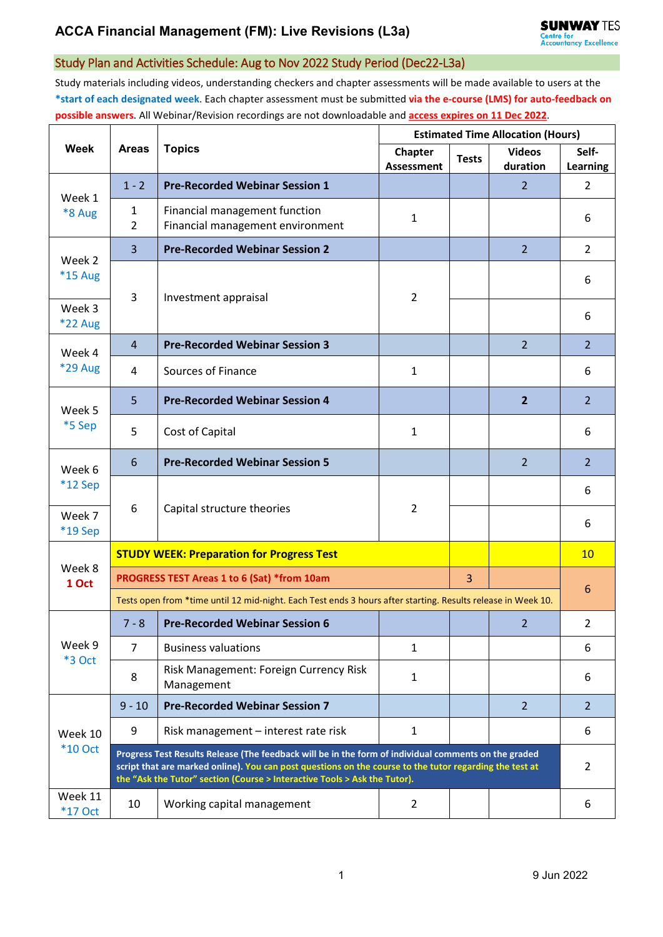## Study Plan and Activities Schedule: Aug to Nov 2022 Study Period (Dec22-L3a)

Study materials including videos, understanding checkers and chapter assessments will be made available to users at the **\*start of each designated week**. Each chapter assessment must be submitted **via the e-course (LMS) for auto-feedback on possible answers**. All Webinar/Revision recordings are not downloadable and **access expires on 11 Dec 2022**.

| Week                      | <b>Areas</b>                                                                                                                                                                                                                                                                                 | <b>Topics</b>                                                     | <b>Estimated Time Allocation (Hours)</b> |              |                           |                   |  |
|---------------------------|----------------------------------------------------------------------------------------------------------------------------------------------------------------------------------------------------------------------------------------------------------------------------------------------|-------------------------------------------------------------------|------------------------------------------|--------------|---------------------------|-------------------|--|
|                           |                                                                                                                                                                                                                                                                                              |                                                                   | Chapter<br><b>Assessment</b>             | <b>Tests</b> | <b>Videos</b><br>duration | Self-<br>Learning |  |
| Week 1<br>*8 Aug          | $1 - 2$                                                                                                                                                                                                                                                                                      | <b>Pre-Recorded Webinar Session 1</b>                             |                                          |              | $\overline{2}$            | 2                 |  |
|                           | 1<br>$\overline{2}$                                                                                                                                                                                                                                                                          | Financial management function<br>Financial management environment | 1                                        |              |                           | 6                 |  |
| Week 2<br>*15 Aug         | $\overline{3}$                                                                                                                                                                                                                                                                               | <b>Pre-Recorded Webinar Session 2</b>                             |                                          |              | $\overline{2}$            | $\overline{2}$    |  |
|                           | 3                                                                                                                                                                                                                                                                                            | Investment appraisal                                              | $\overline{2}$                           |              |                           | 6                 |  |
| Week 3<br><b>*22 Aug</b>  |                                                                                                                                                                                                                                                                                              |                                                                   |                                          |              |                           | 6                 |  |
| Week 4<br><b>*29 Aug</b>  | $\overline{4}$                                                                                                                                                                                                                                                                               | <b>Pre-Recorded Webinar Session 3</b>                             |                                          |              | $\overline{2}$            | $\overline{2}$    |  |
|                           | 4                                                                                                                                                                                                                                                                                            | Sources of Finance                                                | $\mathbf{1}$                             |              |                           | 6                 |  |
| Week 5<br>*5 Sep          | 5                                                                                                                                                                                                                                                                                            | <b>Pre-Recorded Webinar Session 4</b>                             |                                          |              | $\overline{2}$            | $\overline{2}$    |  |
|                           | 5                                                                                                                                                                                                                                                                                            | Cost of Capital                                                   | $\mathbf{1}$                             |              |                           | 6                 |  |
| Week 6<br>$*12$ Sep       | $6\phantom{1}6$                                                                                                                                                                                                                                                                              | <b>Pre-Recorded Webinar Session 5</b>                             |                                          |              | $\overline{2}$            | $\overline{2}$    |  |
|                           | 6                                                                                                                                                                                                                                                                                            | Capital structure theories                                        | $\overline{2}$                           |              |                           | 6                 |  |
| Week 7<br>*19 Sep         |                                                                                                                                                                                                                                                                                              |                                                                   |                                          |              |                           | 6                 |  |
| Week 8<br>1 Oct           | <b>STUDY WEEK: Preparation for Progress Test</b>                                                                                                                                                                                                                                             |                                                                   |                                          |              |                           |                   |  |
|                           |                                                                                                                                                                                                                                                                                              | PROGRESS TEST Areas 1 to 6 (Sat) *from 10am                       | $\overline{3}$                           |              | 6                         |                   |  |
|                           | Tests open from *time until 12 mid-night. Each Test ends 3 hours after starting. Results release in Week 10.                                                                                                                                                                                 |                                                                   |                                          |              |                           |                   |  |
| Week 9<br>*3 Oct          |                                                                                                                                                                                                                                                                                              | 7 - 8   Pre-Recorded Webinar Session 6                            |                                          |              | $\overline{2}$            | $\overline{2}$    |  |
|                           | $\overline{7}$                                                                                                                                                                                                                                                                               | <b>Business valuations</b>                                        | $\mathbf{1}$                             |              |                           | 6                 |  |
|                           | 8                                                                                                                                                                                                                                                                                            | Risk Management: Foreign Currency Risk<br>Management              | $\mathbf{1}$                             |              |                           | 6                 |  |
| Week 10<br><b>*10 Oct</b> | $9 - 10$                                                                                                                                                                                                                                                                                     | <b>Pre-Recorded Webinar Session 7</b>                             |                                          |              | $\overline{2}$            | $\overline{2}$    |  |
|                           | 9                                                                                                                                                                                                                                                                                            | Risk management - interest rate risk                              | $\mathbf{1}$                             |              |                           | 6                 |  |
|                           | Progress Test Results Release (The feedback will be in the form of individual comments on the graded<br>script that are marked online). You can post questions on the course to the tutor regarding the test at<br>the "Ask the Tutor" section (Course > Interactive Tools > Ask the Tutor). |                                                                   |                                          |              |                           |                   |  |
| Week 11<br><b>*17 Oct</b> | 10                                                                                                                                                                                                                                                                                           | Working capital management                                        | $\overline{2}$                           |              |                           | 6                 |  |